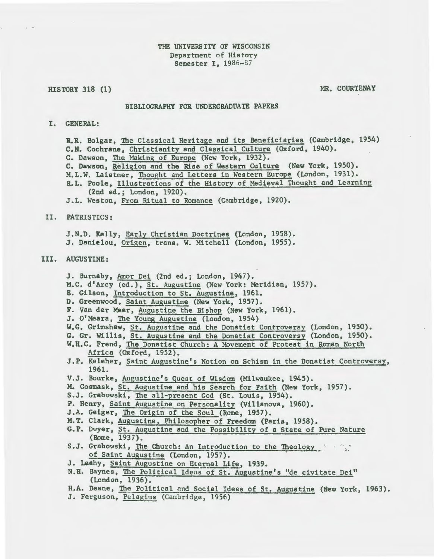#### HISTORY 318 (1)

. .·

MR. COURTENAY

#### BIBLIOGRAPHY FOR UNDERGRADUATE PAPERS

## I. GENERAL:

R.R. Bolgar, The Classical Heritage and its Beneficiaries (Cambridge, 1954) C.N. Cochrane, Christianity and Classical Culture (Oxford, 1940). C. Dawson, The Making of Europe (New York, 1932). C. Dawson, Religion and the Rise of Western Culture (New York, 1950). M.L.W. Laistner, Thought and Letters in Western Europe (London, 1931). R.L. Poole, Illustrations of the History of Medieval Thought and Learning (2nd ed.; London, 1920). J.L. Weston, From Ritual to Romance (Cambridge, 1920).

## II. PATRISTICS:

J.N.D. Kelly, Early Christian Doctrines (London, 1958). J. Danielou, Origen, trans. W. Mitchell (London, 1955).

## III. AUGUSTINE:

J. Burnaby, Amor Dei (2nd ed.; London, 1947). M.C. d'Arcy (ed.), St. Augustine (New York: Meridian, 1957). E. Gilson, Introduction to St. Augustine, 1961. D. Greenwood, Saint Augustine (New York, 1957). F. Van der Meer, Augustine the Bishop (New York, 1961). J. O'Meara, The Young Augustine (London, 1954) W.G. Grimshaw, St. Augustine and the Donatist Controversy (London, 1950}. G. Gr. Willis, St. Augustine and the Donatist Controversy (London, 1950). W.H.C. Frend, The Donatist Church: A Movement of Protest in Roman North Africa (Oxford, 1952). J.P. Keleher, Saint Augustine's Notion on Schism in the Donatist Controversy, 1961. V.J. Bourke, Augustine's Quest of Wisdom (Milwaukee, 1945). M. Cosmask, St. Augustine and his Search for Faith (New York, 1957). S.J. Grabowski, The all-present God (St. Louis, 1954). P. Henry, Saint Augustine on Personality (Villanova, 1960). J.A. Geiger, The Origin of the Soul (Rome, 1957). M.T. Clark, Augustine, Philosopher of Freedom (Paris, 1958). G.P. Dwyer, St. Augustine and the Possibility of a State of Pure Nature (Rome, 1937). S.J. Grabowski, The Church: An Introduction to the Theology .................... of Saint Augustine (London, 1957). J. Leahy, Saint Augustine on Eternal Life, 1939. N.B. Baynes, The Political Ideas of St. Augustine's "de civitate Dei" (London, 1936). H.A. Deane, The Political and Social Ideas of St. Augustine (New York, 1963). J. Ferguson, Pelagius (Cambridge, 1956)